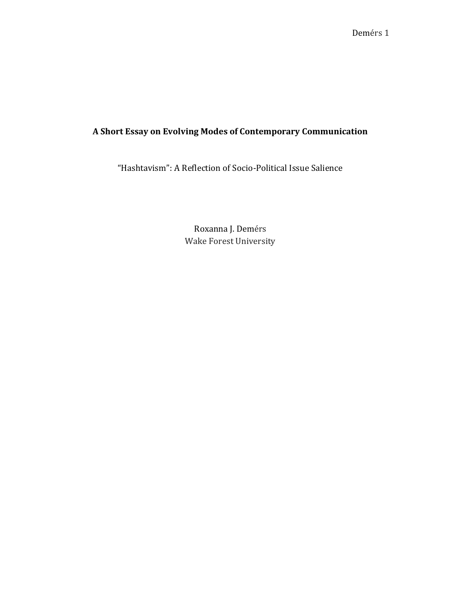## **A Short Essay on Evolving Modes of Contemporary Communication**

"Hashtavism": A Reflection of Socio-Political Issue Salience

Roxanna J. Demérs Wake Forest University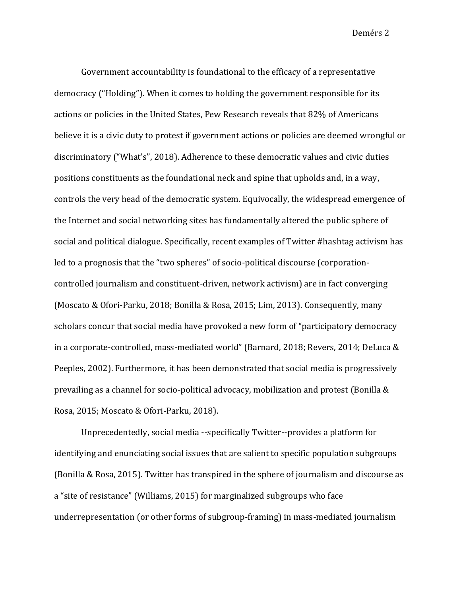Government accountability is foundational to the efficacy of a representative democracy ("Holding"). When it comes to holding the government responsible for its actions or policies in the United States, Pew Research reveals that 82% of Americans believe it is a civic duty to protest if government actions or policies are deemed wrongful or discriminatory ("What's", 2018). Adherence to these democratic values and civic duties positions constituents as the foundational neck and spine that upholds and, in a way, controls the very head of the democratic system. Equivocally, the widespread emergence of the Internet and social networking sites has fundamentally altered the public sphere of social and political dialogue. Specifically, recent examples of Twitter #hashtag activism has led to a prognosis that the "two spheres" of socio-political discourse (corporationcontrolled journalism and constituent-driven, network activism) are in fact converging (Moscato & Ofori-Parku, 2018; Bonilla & Rosa, 2015; Lim, 2013). Consequently, many scholars concur that social media have provoked a new form of "participatory democracy in a corporate-controlled, mass-mediated world" (Barnard, 2018; Revers, 2014; DeLuca & Peeples, 2002). Furthermore, it has been demonstrated that social media is progressively prevailing as a channel for socio-political advocacy, mobilization and protest (Bonilla & Rosa, 2015; Moscato & Ofori-Parku, 2018).

Unprecedentedly, social media --specifically Twitter--provides a platform for identifying and enunciating social issues that are salient to specific population subgroups (Bonilla & Rosa, 2015). Twitter has transpired in the sphere of journalism and discourse as a "site of resistance" (Williams, 2015) for marginalized subgroups who face underrepresentation (or other forms of subgroup-framing) in mass-mediated journalism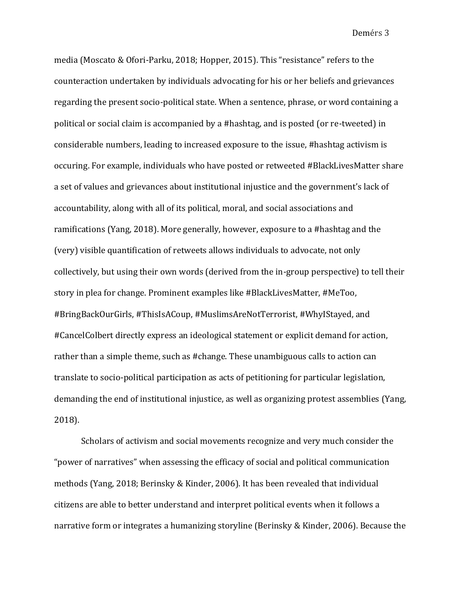media (Moscato & Ofori-Parku, 2018; Hopper, 2015). This "resistance" refers to the counteraction undertaken by individuals advocating for his or her beliefs and grievances regarding the present socio-political state. When a sentence, phrase, or word containing a political or social claim is accompanied by a #hashtag, and is posted (or re-tweeted) in considerable numbers, leading to increased exposure to the issue, #hashtag activism is occuring. For example, individuals who have posted or retweeted #BlackLivesMatter share a set of values and grievances about institutional injustice and the government's lack of accountability, along with all of its political, moral, and social associations and ramifications (Yang, 2018). More generally, however, exposure to a #hashtag and the (very) visible quantification of retweets allows individuals to advocate, not only collectively, but using their own words (derived from the in-group perspective) to tell their story in plea for change. Prominent examples like #BlackLivesMatter, #MeToo, #BringBackOurGirls, #ThisIsACoup, #MuslimsAreNotTerrorist, #WhyIStayed, and #CancelColbert directly express an ideological statement or explicit demand for action, rather than a simple theme, such as #change. These unambiguous calls to action can translate to socio-political participation as acts of petitioning for particular legislation, demanding the end of institutional injustice, as well as organizing protest assemblies (Yang, 2018).

Scholars of activism and social movements recognize and very much consider the "power of narratives" when assessing the efficacy of social and political communication methods (Yang, 2018; Berinsky & Kinder, 2006). It has been revealed that individual citizens are able to better understand and interpret political events when it follows a narrative form or integrates a humanizing storyline (Berinsky & Kinder, 2006). Because the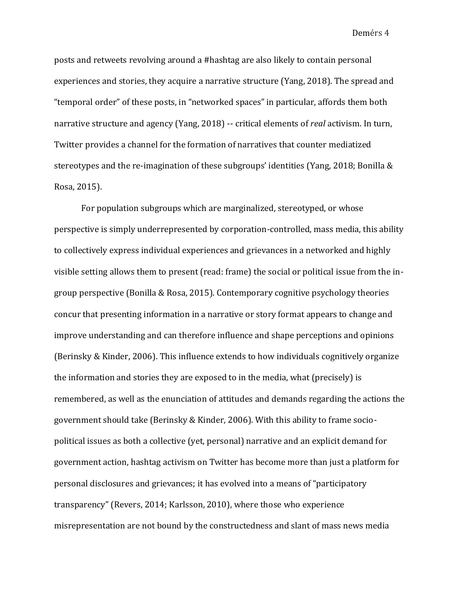posts and retweets revolving around a #hashtag are also likely to contain personal experiences and stories, they acquire a narrative structure (Yang, 2018). The spread and "temporal order" of these posts, in "networked spaces" in particular, affords them both narrative structure and agency (Yang, 2018) -- critical elements of *real* activism. In turn, Twitter provides a channel for the formation of narratives that counter mediatized stereotypes and the re-imagination of these subgroups' identities (Yang, 2018; Bonilla & Rosa, 2015).

For population subgroups which are marginalized, stereotyped, or whose perspective is simply underrepresented by corporation-controlled, mass media, this ability to collectively express individual experiences and grievances in a networked and highly visible setting allows them to present (read: frame) the social or political issue from the ingroup perspective (Bonilla & Rosa, 2015). Contemporary cognitive psychology theories concur that presenting information in a narrative or story format appears to change and improve understanding and can therefore influence and shape perceptions and opinions (Berinsky & Kinder, 2006). This influence extends to how individuals cognitively organize the information and stories they are exposed to in the media, what (precisely) is remembered, as well as the enunciation of attitudes and demands regarding the actions the government should take (Berinsky & Kinder, 2006). With this ability to frame sociopolitical issues as both a collective (yet, personal) narrative and an explicit demand for government action, hashtag activism on Twitter has become more than just a platform for personal disclosures and grievances; it has evolved into a means of "participatory transparency" (Revers, 2014; Karlsson, 2010), where those who experience misrepresentation are not bound by the constructedness and slant of mass news media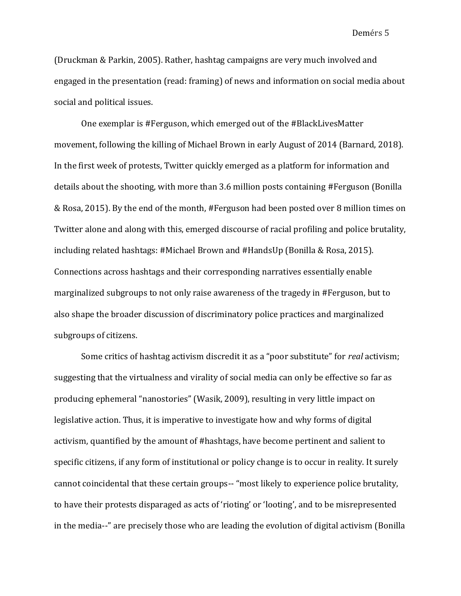(Druckman & Parkin, 2005). Rather, hashtag campaigns are very much involved and engaged in the presentation (read: framing) of news and information on social media about social and political issues.

One exemplar is #Ferguson, which emerged out of the #BlackLivesMatter movement, following the killing of Michael Brown in early August of 2014 (Barnard, 2018). In the first week of protests, Twitter quickly emerged as a platform for information and details about the shooting, with more than 3.6 million posts containing #Ferguson (Bonilla & Rosa, 2015). By the end of the month, #Ferguson had been posted over 8 million times on Twitter alone and along with this, emerged discourse of racial profiling and police brutality, including related hashtags: #Michael Brown and #HandsUp (Bonilla & Rosa, 2015). Connections across hashtags and their corresponding narratives essentially enable marginalized subgroups to not only raise awareness of the tragedy in #Ferguson, but to also shape the broader discussion of discriminatory police practices and marginalized subgroups of citizens.

Some critics of hashtag activism discredit it as a "poor substitute" for *real* activism; suggesting that the virtualness and virality of social media can only be effective so far as producing ephemeral "nanostories" (Wasik, 2009), resulting in very little impact on legislative action. Thus, it is imperative to investigate how and why forms of digital activism, quantified by the amount of #hashtags, have become pertinent and salient to specific citizens, if any form of institutional or policy change is to occur in reality. It surely cannot coincidental that these certain groups-- "most likely to experience police brutality, to have their protests disparaged as acts of 'rioting' or 'looting', and to be misrepresented in the media--" are precisely those who are leading the evolution of digital activism (Bonilla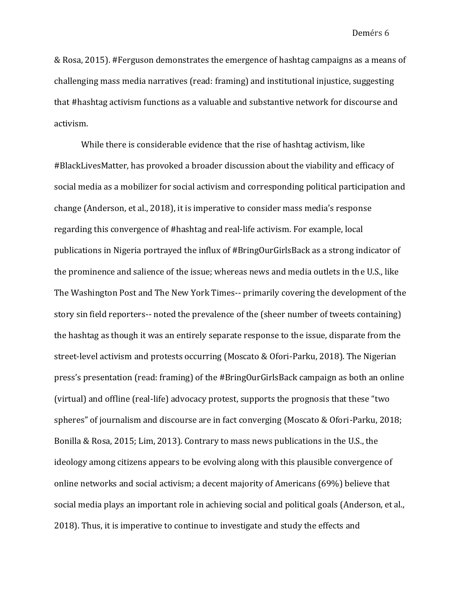& Rosa, 2015). #Ferguson demonstrates the emergence of hashtag campaigns as a means of challenging mass media narratives (read: framing) and institutional injustice, suggesting that #hashtag activism functions as a valuable and substantive network for discourse and activism.

While there is considerable evidence that the rise of hashtag activism, like #BlackLivesMatter, has provoked a broader discussion about the viability and efficacy of social media as a mobilizer for social activism and corresponding political participation and change (Anderson, et al., 2018), it is imperative to consider mass media's response regarding this convergence of #hashtag and real-life activism. For example, local publications in Nigeria portrayed the influx of #BringOurGirlsBack as a strong indicator of the prominence and salience of the issue; whereas news and media outlets in the U.S., like The Washington Post and The New York Times-- primarily covering the development of the story sin field reporters-- noted the prevalence of the (sheer number of tweets containing) the hashtag as though it was an entirely separate response to the issue, disparate from the street-level activism and protests occurring (Moscato & Ofori-Parku, 2018). The Nigerian press's presentation (read: framing) of the #BringOurGirlsBack campaign as both an online (virtual) and offline (real-life) advocacy protest, supports the prognosis that these "two spheres" of journalism and discourse are in fact converging (Moscato & Ofori-Parku, 2018; Bonilla & Rosa, 2015; Lim, 2013). Contrary to mass news publications in the U.S., the ideology among citizens appears to be evolving along with this plausible convergence of online networks and social activism; a decent majority of Americans (69%) believe that social media plays an important role in achieving social and political goals (Anderson, et al., 2018). Thus, it is imperative to continue to investigate and study the effects and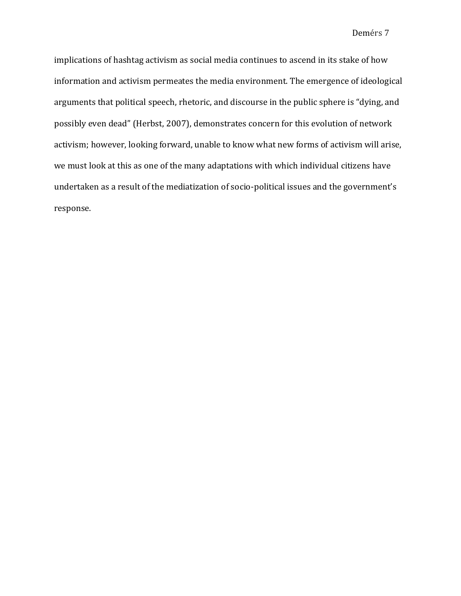implications of hashtag activism as social media continues to ascend in its stake of how information and activism permeates the media environment. The emergence of ideological arguments that political speech, rhetoric, and discourse in the public sphere is "dying, and possibly even dead" (Herbst, 2007), demonstrates concern for this evolution of network activism; however, looking forward, unable to know what new forms of activism will arise, we must look at this as one of the many adaptations with which individual citizens have undertaken as a result of the mediatization of socio-political issues and the government's response.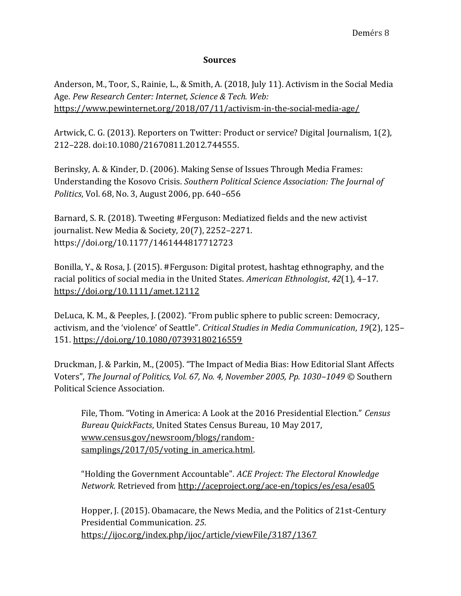## **Sources**

Anderson, M., Toor, S., Rainie, L., & Smith, A. (2018, July 11). Activism in the Social Media Age. *Pew Research Center: Internet, Science & Tech. Web[:](https://www.pewinternet.org/2018/07/11/activism-in-the-social-media-age/)* <https://www.pewinternet.org/2018/07/11/activism-in-the-social-media-age/>

Artwick, C. G. (2013). Reporters on Twitter: Product or service? Digital Journalism, 1(2), 212–228. doi:10.1080/21670811.2012.744555.

Berinsky, A. & Kinder, D. (2006). Making Sense of Issues Through Media Frames: Understanding the Kosovo Crisis. *Southern Political Science Association: The Journal of Politics*, Vol. 68, No. 3, August 2006, pp. 640–656

Barnard, S. R. (2018). Tweeting #Ferguson: Mediatized fields and the new activist journalist. New Media & Society, 20(7), 2252–2271. https://doi.org/10.1177/1461444817712723

Bonilla, Y., & Rosa, J. (2015). #Ferguson: Digital protest, hashtag ethnography, and the racial politics of social media in the United States. *American Ethnologist*, *42*(1), 4–1[7.](https://doi.org/10.1111/amet.12112) <https://doi.org/10.1111/amet.12112>

DeLuca, K. M., & Peeples, J. (2002). "From public sphere to public screen: Democracy, activism, and the 'violence' of Seattle". *Critical Studies in Media Communication*, *19*(2), 125– 15[1.](https://doi.org/10.1080/07393180216559) <https://doi.org/10.1080/07393180216559>

Druckman, J. & Parkin, M., (2005). "The Impact of Media Bias: How Editorial Slant Affects Voters", *The Journal of Politics, Vol. 67, No. 4, November 2005, Pp. 1030–1049 ©* Southern Political Science Association.

File, Thom. "Voting in America: A Look at the 2016 Presidential Election." *Census Bureau QuickFacts*, United States Census Bureau, 10 May 2017, [www.census.gov/newsroom/blogs/random](http://www.census.gov/newsroom/blogs/random-samplings/2017/05/voting_in_america.html)samplings/2017/05/voting in america.html.

"Holding the Government Accountable". *ACE Project: The Electoral Knowledge Network.* Retrieved fro[m http://aceproject.org/ace-en/topics/es/esa/esa05](http://aceproject.org/ace-en/topics/es/esa/esa05)

Hopper, J. (2015). Obamacare, the News Media, and the Politics of 21st-Century Presidential Communication. *25*. <https://ijoc.org/index.php/ijoc/article/viewFile/3187/1367>